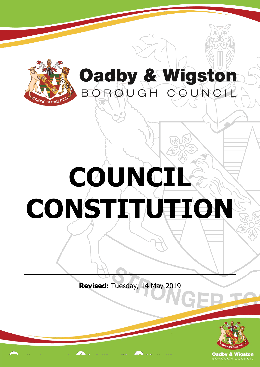

## Oadby & Wigston BORQUGH COUNCIL

## **COUNCI CONSTITUTION**

**Revised:** Tuesday, 14 May 2019



**Oadby & Wigston**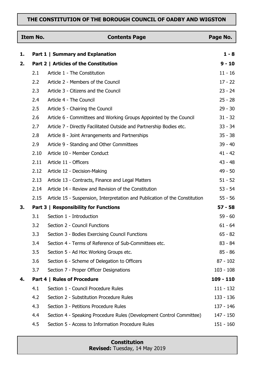## **THE CONSTITUTION OF THE BOROUGH COUNCIL OF OADBY AND WIGSTON**

| <b>Item No.</b> |      | <b>Contents Page</b>                                                        | Page No.    |
|-----------------|------|-----------------------------------------------------------------------------|-------------|
| 1.              |      | Part 1   Summary and Explanation                                            | $1 - 8$     |
| 2.              |      | Part 2   Articles of the Constitution                                       | $9 - 10$    |
|                 | 2.1  | Article 1 - The Constitution                                                | $11 - 16$   |
|                 | 2.2  | Article 2 - Members of the Council                                          | $17 - 22$   |
|                 | 2.3  | Article 3 - Citizens and the Council                                        | $23 - 24$   |
|                 | 2.4  | Article 4 - The Council                                                     | $25 - 28$   |
|                 | 2.5  | Article 5 - Chairing the Council                                            | $29 - 30$   |
|                 | 2.6  | Article 6 - Committees and Working Groups Appointed by the Council          | $31 - 32$   |
|                 | 2.7  | Article 7 - Directly Facilitated Outside and Partnership Bodies etc.        | $33 - 34$   |
|                 | 2.8  | Article 8 - Joint Arrangements and Partnerships                             | $35 - 38$   |
|                 | 2.9  | Article 9 - Standing and Other Committees                                   | $39 - 40$   |
|                 | 2.10 | Article 10 - Member Conduct                                                 | $41 - 42$   |
|                 | 2.11 | Article 11 - Officers                                                       | $43 - 48$   |
|                 | 2.12 | Article 12 - Decision-Making                                                | $49 - 50$   |
|                 | 2.13 | Article 13 - Contracts, Finance and Legal Matters                           | $51 - 52$   |
|                 | 2.14 | Article 14 - Review and Revision of the Constitution                        | $53 - 54$   |
|                 | 2.15 | Article 15 - Suspension, Interpretation and Publication of the Constitution | $55 - 56$   |
| 3.              |      | <b>Part 3   Responsibility for Functions</b>                                | $57 - 58$   |
|                 | 3.1  | Section 1 - Introduction                                                    | $59 - 60$   |
|                 | 3.2  | Section 2 - Council Functions                                               | $61 - 64$   |
|                 | 3.3  | Section 3 - Bodies Exercising Council Functions                             | $65 - 82$   |
|                 | 3.4  | Section 4 - Terms of Reference of Sub-Committees etc.                       | $83 - 84$   |
|                 | 3.5  | Section 5 - Ad Hoc Working Groups etc.                                      | $85 - 86$   |
|                 | 3.6  | Section 6 - Scheme of Delegation to Officers                                | $87 - 102$  |
|                 | 3.7  | Section 7 - Proper Officer Designations                                     | $103 - 108$ |
| 4.              |      | Part 4   Rules of Procedure                                                 | 109 - 110   |
|                 | 4.1  | Section 1 - Council Procedure Rules                                         | $111 - 132$ |
|                 | 4.2  | Section 2 - Substitution Procedure Rules                                    | 133 - 136   |
|                 | 4.3  | Section 3 - Petitions Procedure Rules                                       | 137 - 146   |
|                 | 4.4  | Section 4 - Speaking Procedure Rules (Development Control Committee)        | 147 - 150   |
|                 | 4.5  | Section 5 - Access to Information Procedure Rules                           | $151 - 160$ |

**Constitution Revised:** Tuesday, 14 May 2019